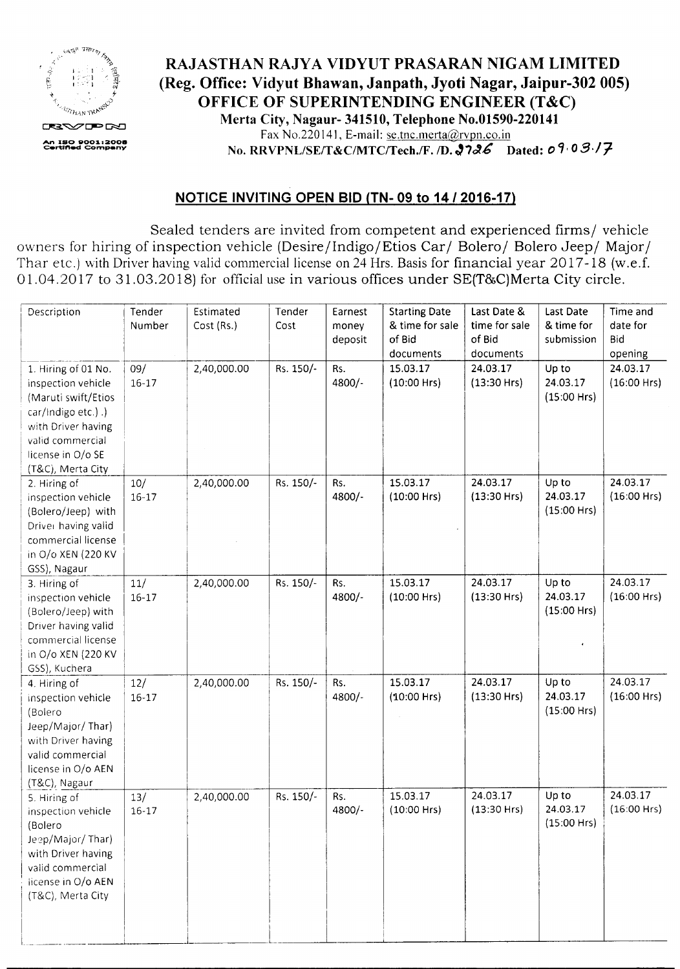

## RAJASTHAN RAJYA VIDYUT PRASARAN NIGAM LIMITED (Reg. Office: Vidyut Bhawan, Janpath, Jyoti Nagar, Jaipur-302 005) OFFICE OF SUPERINTENDING ENGINEER (T&C) Merta City, Nagaur- 341510, Telephone No.01590-220141 Fax No.220 141, E-mail: se.tnc.merta@rvpn.co.in No. RRVPNL/SE/T&C/MTC/Tech./F. /D. 2726 Dated: 09.03./7-

## NOTICE INVITING OPEN BID (TN- 09 to *14/2016-17)*

Sealed tenders are invited from competent and experienced firms/ vehicle owners for hiring of inspection vehicle (Desire/Indigo/Etios Car/ Bolero/ Bolero Jeep/ Major/ Thar etc.) with Driver having valid commercial license on 24 Hrs. Basis for financial year 2017-18 (w.e.f. 01.04.2017 to 31.03.2018) for official use in various offices under SE(T&C)Merta City circle.

| Description                                                                                                                                                                | Tender<br>Number | Estimated<br>Cost (Rs.) | Tender<br>Cost | Earnest<br>money<br>deposit | <b>Starting Date</b><br>& time for sale<br>of Bid<br>documents | Last Date &<br>time for sale<br>of Bid<br>documents | Last Date<br>& time for<br>submission | Time and<br>date for<br><b>Bid</b><br>opening |
|----------------------------------------------------------------------------------------------------------------------------------------------------------------------------|------------------|-------------------------|----------------|-----------------------------|----------------------------------------------------------------|-----------------------------------------------------|---------------------------------------|-----------------------------------------------|
| 1. Hiring of 01 No.<br>inspection vehicle<br>(Maruti swift/Etios<br>car/Indigo etc.).)<br>with Driver having<br>valid commercial<br>license in O/o SE<br>(T&C), Merta City | 09/<br>$16 - 17$ | 2,40,000.00             | Rs. 150/-      | Rs.<br>4800/-               | 15.03.17<br>$(10:00$ Hrs)                                      | 24.03.17<br>(13:30 Hrs)                             | Up to<br>24.03.17<br>$(15:00$ Hrs)    | 24.03.17<br>$(16:00$ Hrs)                     |
| 2. Hiring of<br>inspection vehicle<br>(Bolero/Jeep) with<br>Driver having valid<br>commercial license<br>in O/o XEN (220 KV<br>GSS), Nagaur                                | 10/<br>$16 - 17$ | 2,40,000.00             | Rs. 150/-      | Rs.<br>4800/-               | 15.03.17<br>$(10:00$ Hrs)                                      | 24.03.17<br>$(13:30$ Hrs)                           | Up to<br>24.03.17<br>$(15:00$ Hrs)    | 24.03.17<br>$(16:00$ Hrs)                     |
| 3. Hiring of<br>inspection vehicle<br>(Bolero/Jeep) with<br>Driver having valid<br>commercial license<br>in O/o XEN (220 KV<br>GSS), Kuchera                               | 11/<br>$16 - 17$ | 2,40,000.00             | Rs. 150/-      | Rs.<br>4800/-               | 15.03.17<br>$(10:00$ Hrs)                                      | 24.03.17<br>$(13:30$ Hrs)                           | Up to<br>24.03.17<br>$(15:00$ Hrs)    | 24.03.17<br>$(16:00$ Hrs)                     |
| 4. Hiring of<br>inspection vehicle<br>(Bolero<br>Jeep/Major/Thar)<br>with Driver having<br>valid commercial<br>license in O/o AEN<br>(T&C), Nagaur                         | 12/<br>$16 - 17$ | 2,40,000.00             | Rs. 150/-      | Rs.<br>4800/-               | 15.03.17<br>$(10:00$ Hrs)                                      | 24.03.17<br>$(13:30$ Hrs)                           | Up to<br>24.03.17<br>$(15:00$ Hrs)    | 24.03.17<br>$(16:00$ Hrs)                     |
| 5. Hiring of<br>inspection vehicle<br>(Bolero<br>Jeep/Major/Thar)<br>with Driver having<br>valid commercial<br>license in O/o AEN<br>(T&C), Merta City                     | 13/<br>$16 - 17$ | 2,40,000.00             | Rs. 150/-      | Rs.<br>4800/-               | 15.03.17<br>$(10:00$ Hrs)                                      | 24.03.17<br>$(13:30$ Hrs)                           | Up to<br>24.03.17<br>$(15:00$ Hrs)    | 24.03.17<br>$(16:00$ Hrs)                     |

I i I

."- L-